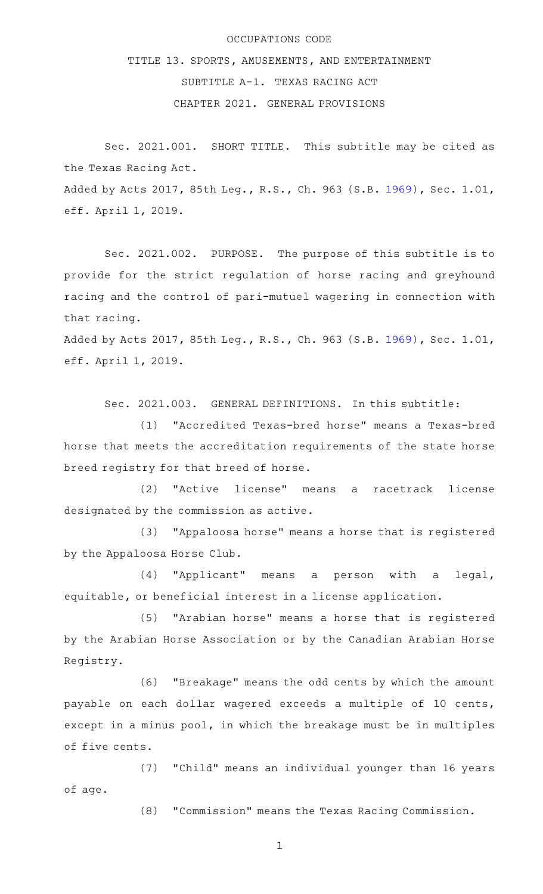## OCCUPATIONS CODE

TITLE 13. SPORTS, AMUSEMENTS, AND ENTERTAINMENT SUBTITLE A-1. TEXAS RACING ACT CHAPTER 2021. GENERAL PROVISIONS

Sec. 2021.001. SHORT TITLE. This subtitle may be cited as the Texas Racing Act. Added by Acts 2017, 85th Leg., R.S., Ch. 963 (S.B. [1969](http://www.legis.state.tx.us/tlodocs/85R/billtext/html/SB01969F.HTM)), Sec. 1.01, eff. April 1, 2019.

Sec. 2021.002. PURPOSE. The purpose of this subtitle is to provide for the strict regulation of horse racing and greyhound racing and the control of pari-mutuel wagering in connection with that racing.

Added by Acts 2017, 85th Leg., R.S., Ch. 963 (S.B. [1969](http://www.legis.state.tx.us/tlodocs/85R/billtext/html/SB01969F.HTM)), Sec. 1.01, eff. April 1, 2019.

Sec. 2021.003. GENERAL DEFINITIONS. In this subtitle:

(1) "Accredited Texas-bred horse" means a Texas-bred horse that meets the accreditation requirements of the state horse breed registry for that breed of horse.

(2) "Active license" means a racetrack license designated by the commission as active.

(3) "Appaloosa horse" means a horse that is registered by the Appaloosa Horse Club.

(4) "Applicant" means a person with a legal, equitable, or beneficial interest in a license application.

(5) "Arabian horse" means a horse that is registered by the Arabian Horse Association or by the Canadian Arabian Horse Registry.

(6) "Breakage" means the odd cents by which the amount payable on each dollar wagered exceeds a multiple of 10 cents, except in a minus pool, in which the breakage must be in multiples of five cents.

(7) "Child" means an individual younger than 16 years of age.

(8) "Commission" means the Texas Racing Commission.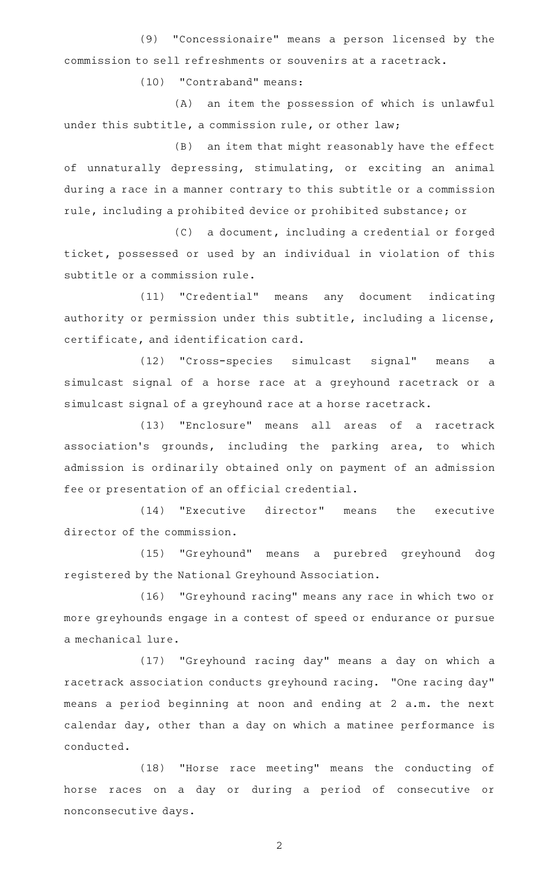(9) "Concessionaire" means a person licensed by the commission to sell refreshments or souvenirs at a racetrack.

(10) "Contraband" means:

(A) an item the possession of which is unlawful under this subtitle, a commission rule, or other law;

(B) an item that might reasonably have the effect of unnaturally depressing, stimulating, or exciting an animal during a race in a manner contrary to this subtitle or a commission rule, including a prohibited device or prohibited substance; or

(C) a document, including a credential or forged ticket, possessed or used by an individual in violation of this subtitle or a commission rule.

(11) "Credential" means any document indicating authority or permission under this subtitle, including a license, certificate, and identification card.

(12) "Cross-species simulcast signal" means a simulcast signal of a horse race at a greyhound racetrack or a simulcast signal of a greyhound race at a horse racetrack.

(13) "Enclosure" means all areas of a racetrack association's grounds, including the parking area, to which admission is ordinarily obtained only on payment of an admission fee or presentation of an official credential.

(14) "Executive director" means the executive director of the commission.

(15) "Greyhound" means a purebred greyhound dog registered by the National Greyhound Association.

(16) "Greyhound racing" means any race in which two or more greyhounds engage in a contest of speed or endurance or pursue a mechanical lure.

(17) "Greyhound racing day" means a day on which a racetrack association conducts greyhound racing. "One racing day" means a period beginning at noon and ending at 2 a.m. the next calendar day, other than a day on which a matinee performance is conducted.

(18) "Horse race meeting" means the conducting of horse races on a day or during a period of consecutive or nonconsecutive days.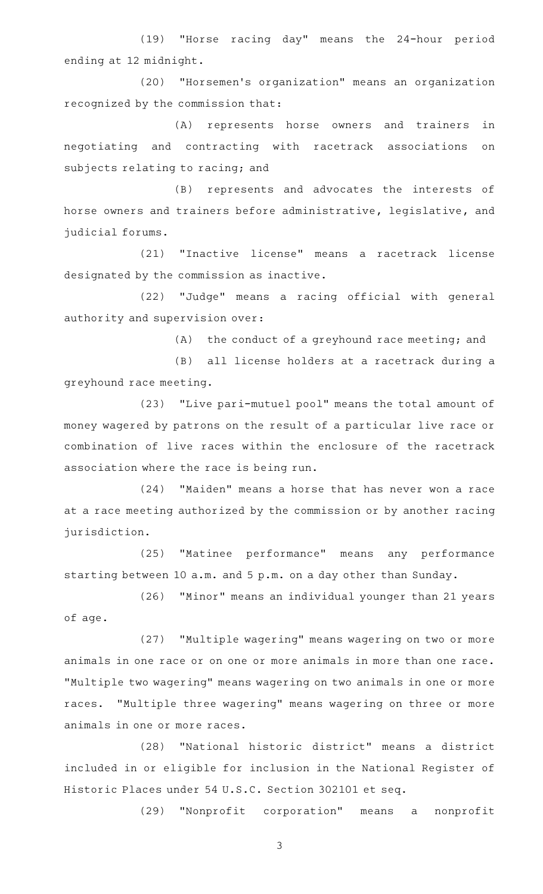(19) "Horse racing day" means the 24-hour period ending at 12 midnight.

(20) "Horsemen's organization" means an organization recognized by the commission that:

(A) represents horse owners and trainers in negotiating and contracting with racetrack associations on subjects relating to racing; and

(B) represents and advocates the interests of horse owners and trainers before administrative, legislative, and judicial forums.

(21) "Inactive license" means a racetrack license designated by the commission as inactive.

(22) "Judge" means a racing official with general authority and supervision over:

(A) the conduct of a greyhound race meeting; and

(B) all license holders at a racetrack during a greyhound race meeting.

(23) "Live pari-mutuel pool" means the total amount of money wagered by patrons on the result of a particular live race or combination of live races within the enclosure of the racetrack association where the race is being run.

(24) "Maiden" means a horse that has never won a race at a race meeting authorized by the commission or by another racing jurisdiction.

(25) "Matinee performance" means any performance starting between 10 a.m. and 5 p.m. on a day other than Sunday.

(26) "Minor" means an individual younger than 21 years of age.

(27) "Multiple wagering" means wagering on two or more animals in one race or on one or more animals in more than one race. "Multiple two wagering" means wagering on two animals in one or more races. "Multiple three wagering" means wagering on three or more animals in one or more races.

(28) "National historic district" means a district included in or eligible for inclusion in the National Register of Historic Places under 54 U.S.C. Section 302101 et seq.

(29) "Nonprofit corporation" means a nonprofit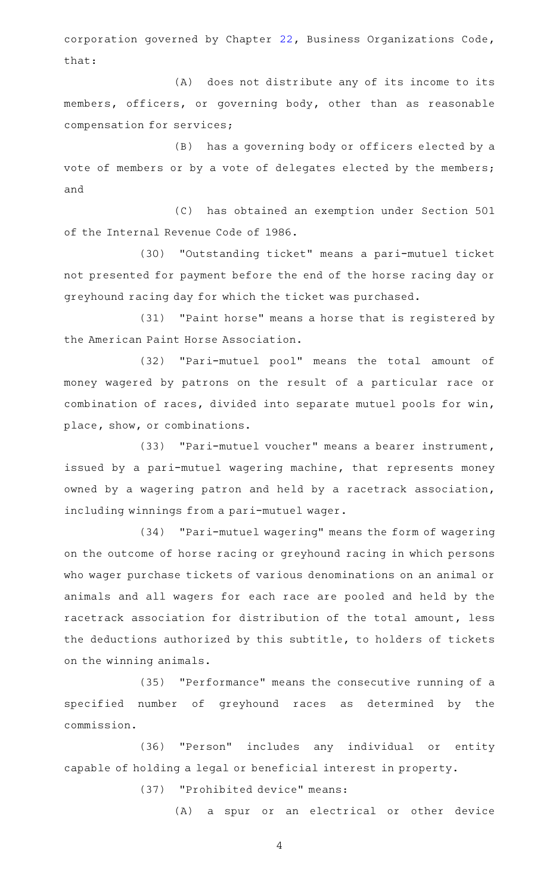corporation governed by Chapter [22](http://www.statutes.legis.state.tx.us/GetStatute.aspx?Code=BO&Value=22), Business Organizations Code, that:

(A) does not distribute any of its income to its members, officers, or governing body, other than as reasonable compensation for services;

(B) has a governing body or officers elected by a vote of members or by a vote of delegates elected by the members; and

(C) has obtained an exemption under Section 501 of the Internal Revenue Code of 1986.

(30) "Outstanding ticket" means a pari-mutuel ticket not presented for payment before the end of the horse racing day or greyhound racing day for which the ticket was purchased.

(31) "Paint horse" means a horse that is registered by the American Paint Horse Association.

(32) "Pari-mutuel pool" means the total amount of money wagered by patrons on the result of a particular race or combination of races, divided into separate mutuel pools for win, place, show, or combinations.

(33) "Pari-mutuel voucher" means a bearer instrument, issued by a pari-mutuel wagering machine, that represents money owned by a wagering patron and held by a racetrack association, including winnings from a pari-mutuel wager.

(34) "Pari-mutuel wagering" means the form of wagering on the outcome of horse racing or greyhound racing in which persons who wager purchase tickets of various denominations on an animal or animals and all wagers for each race are pooled and held by the racetrack association for distribution of the total amount, less the deductions authorized by this subtitle, to holders of tickets on the winning animals.

(35) "Performance" means the consecutive running of a specified number of greyhound races as determined by the commission.

(36) "Person" includes any individual or entity capable of holding a legal or beneficial interest in property.

(37) "Prohibited device" means:

(A) a spur or an electrical or other device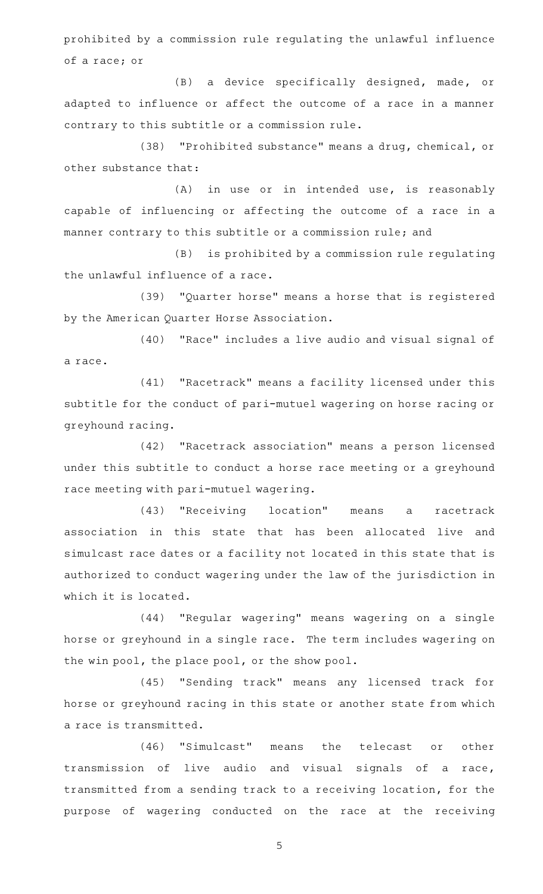prohibited by a commission rule regulating the unlawful influence of a race; or

(B) a device specifically designed, made, or adapted to influence or affect the outcome of a race in a manner contrary to this subtitle or a commission rule.

(38) "Prohibited substance" means a drug, chemical, or other substance that:

 $(A)$  in use or in intended use, is reasonably capable of influencing or affecting the outcome of a race in a manner contrary to this subtitle or a commission rule; and

(B) is prohibited by a commission rule regulating the unlawful influence of a race.

(39) "Quarter horse" means a horse that is registered by the American Quarter Horse Association.

(40) "Race" includes a live audio and visual signal of a race.

(41) "Racetrack" means a facility licensed under this subtitle for the conduct of pari-mutuel wagering on horse racing or greyhound racing.

(42) "Racetrack association" means a person licensed under this subtitle to conduct a horse race meeting or a greyhound race meeting with pari-mutuel wagering.

(43) "Receiving location" means a racetrack association in this state that has been allocated live and simulcast race dates or a facility not located in this state that is authorized to conduct wagering under the law of the jurisdiction in which it is located.

(44) "Regular wagering" means wagering on a single horse or greyhound in a single race. The term includes wagering on the win pool, the place pool, or the show pool.

(45) "Sending track" means any licensed track for horse or greyhound racing in this state or another state from which a race is transmitted.

(46) "Simulcast" means the telecast or other transmission of live audio and visual signals of a race, transmitted from a sending track to a receiving location, for the purpose of wagering conducted on the race at the receiving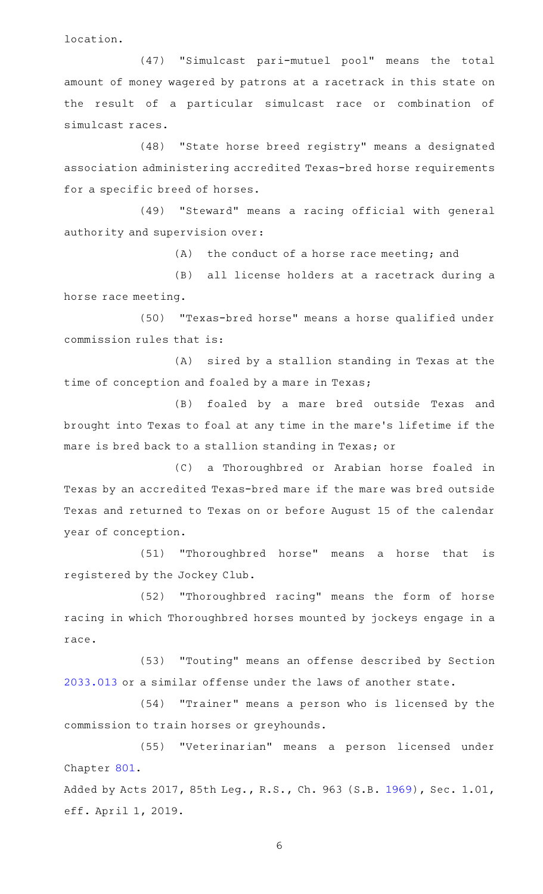location.

(47) "Simulcast pari-mutuel pool" means the total amount of money wagered by patrons at a racetrack in this state on the result of a particular simulcast race or combination of simulcast races.

(48) "State horse breed registry" means a designated association administering accredited Texas-bred horse requirements for a specific breed of horses.

(49) "Steward" means a racing official with general authority and supervision over:

 $(A)$  the conduct of a horse race meeting; and

(B) all license holders at a racetrack during a horse race meeting.

(50) "Texas-bred horse" means a horse qualified under commission rules that is:

(A) sired by a stallion standing in Texas at the time of conception and foaled by a mare in Texas;

(B) foaled by a mare bred outside Texas and brought into Texas to foal at any time in the mare 's lifetime if the mare is bred back to a stallion standing in Texas; or

(C) a Thoroughbred or Arabian horse foaled in Texas by an accredited Texas-bred mare if the mare was bred outside Texas and returned to Texas on or before August 15 of the calendar year of conception.

(51) "Thoroughbred horse" means a horse that is registered by the Jockey Club.

(52) "Thoroughbred racing" means the form of horse racing in which Thoroughbred horses mounted by jockeys engage in a race.

(53) "Touting" means an offense described by Section [2033.013](http://www.statutes.legis.state.tx.us/GetStatute.aspx?Code=OC&Value=2033.013) or a similar offense under the laws of another state.

(54) "Trainer" means a person who is licensed by the commission to train horses or greyhounds.

(55) "Veterinarian" means a person licensed under Chapter [801.](http://www.statutes.legis.state.tx.us/GetStatute.aspx?Code=OC&Value=801)

Added by Acts 2017, 85th Leg., R.S., Ch. 963 (S.B. [1969](http://www.legis.state.tx.us/tlodocs/85R/billtext/html/SB01969F.HTM)), Sec. 1.01, eff. April 1, 2019.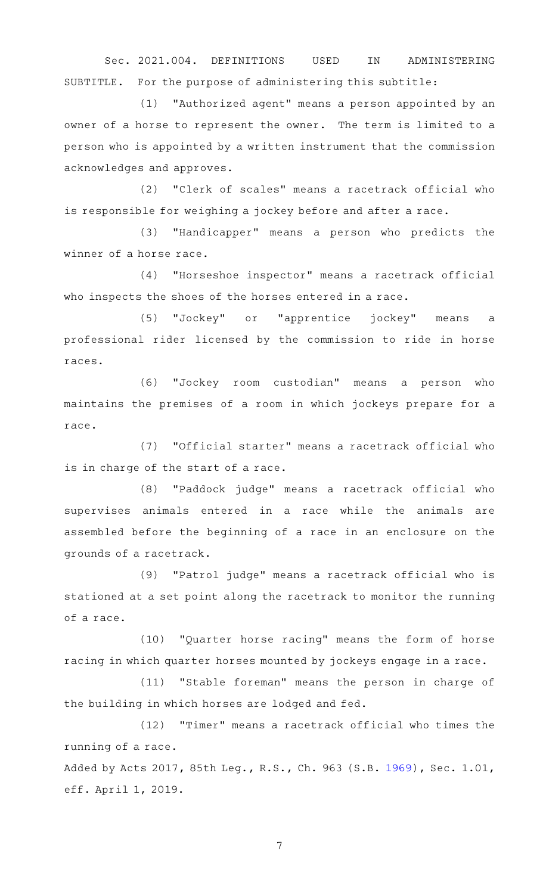Sec. 2021.004. DEFINITIONS USED IN ADMINISTERING SUBTITLE. For the purpose of administering this subtitle:

(1) "Authorized agent" means a person appointed by an owner of a horse to represent the owner. The term is limited to a person who is appointed by a written instrument that the commission acknowledges and approves.

(2) "Clerk of scales" means a racetrack official who is responsible for weighing a jockey before and after a race.

(3) "Handicapper" means a person who predicts the winner of a horse race.

(4) "Horseshoe inspector" means a racetrack official who inspects the shoes of the horses entered in a race.

(5) "Jockey" or "apprentice jockey" means a professional rider licensed by the commission to ride in horse races.

(6) "Jockey room custodian" means a person who maintains the premises of a room in which jockeys prepare for a race.

(7) "Official starter" means a racetrack official who is in charge of the start of a race.

(8) "Paddock judge" means a racetrack official who supervises animals entered in a race while the animals are assembled before the beginning of a race in an enclosure on the grounds of a racetrack.

(9) "Patrol judge" means a racetrack official who is stationed at a set point along the racetrack to monitor the running of a race.

(10) "Quarter horse racing" means the form of horse racing in which quarter horses mounted by jockeys engage in a race.

(11) "Stable foreman" means the person in charge of the building in which horses are lodged and fed.

(12) "Timer" means a racetrack official who times the running of a race.

Added by Acts 2017, 85th Leg., R.S., Ch. 963 (S.B. [1969](http://www.legis.state.tx.us/tlodocs/85R/billtext/html/SB01969F.HTM)), Sec. 1.01, eff. April 1, 2019.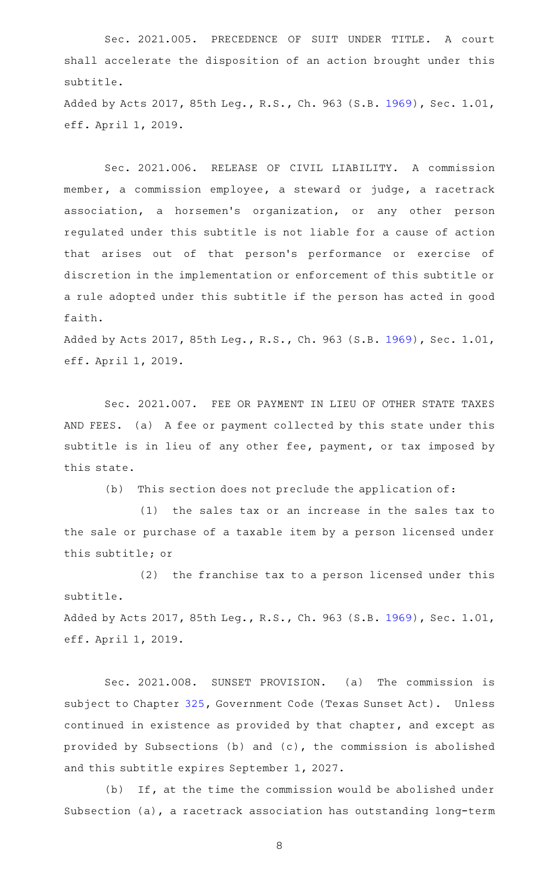Sec. 2021.005. PRECEDENCE OF SUIT UNDER TITLE. A court shall accelerate the disposition of an action brought under this subtitle.

Added by Acts 2017, 85th Leg., R.S., Ch. 963 (S.B. [1969](http://www.legis.state.tx.us/tlodocs/85R/billtext/html/SB01969F.HTM)), Sec. 1.01, eff. April 1, 2019.

Sec. 2021.006. RELEASE OF CIVIL LIABILITY. A commission member, a commission employee, a steward or judge, a racetrack association, a horsemen 's organization, or any other person regulated under this subtitle is not liable for a cause of action that arises out of that person 's performance or exercise of discretion in the implementation or enforcement of this subtitle or a rule adopted under this subtitle if the person has acted in good faith.

Added by Acts 2017, 85th Leg., R.S., Ch. 963 (S.B. [1969](http://www.legis.state.tx.us/tlodocs/85R/billtext/html/SB01969F.HTM)), Sec. 1.01, eff. April 1, 2019.

Sec. 2021.007. FEE OR PAYMENT IN LIEU OF OTHER STATE TAXES AND FEES. (a) A fee or payment collected by this state under this subtitle is in lieu of any other fee, payment, or tax imposed by this state.

 $(b)$  This section does not preclude the application of:

(1) the sales tax or an increase in the sales tax to the sale or purchase of a taxable item by a person licensed under this subtitle; or

(2) the franchise tax to a person licensed under this subtitle.

Added by Acts 2017, 85th Leg., R.S., Ch. 963 (S.B. [1969](http://www.legis.state.tx.us/tlodocs/85R/billtext/html/SB01969F.HTM)), Sec. 1.01, eff. April 1, 2019.

Sec. 2021.008. SUNSET PROVISION. (a) The commission is subject to Chapter [325,](http://www.statutes.legis.state.tx.us/GetStatute.aspx?Code=GV&Value=325) Government Code (Texas Sunset Act). Unless continued in existence as provided by that chapter, and except as provided by Subsections (b) and (c), the commission is abolished and this subtitle expires September 1, 2027.

 $(b)$  If, at the time the commission would be abolished under Subsection (a), a racetrack association has outstanding long-term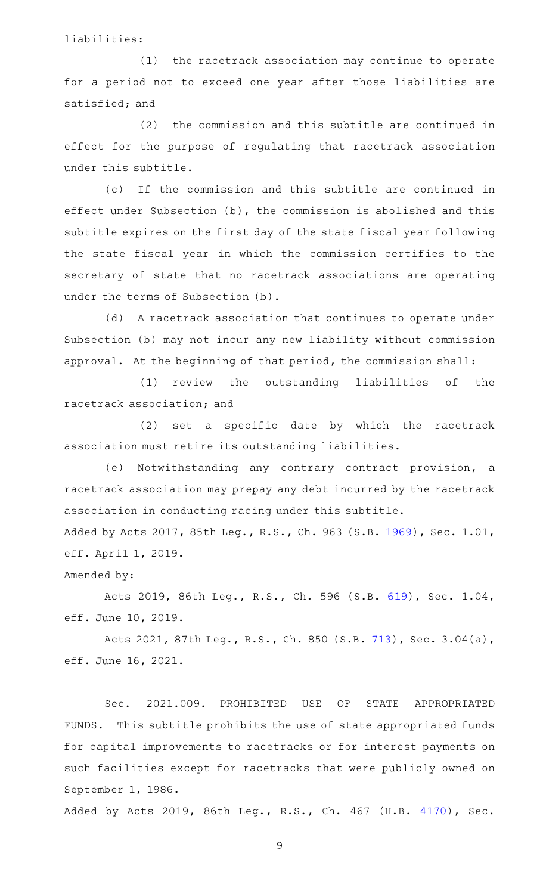liabilities:

 $(1)$  the racetrack association may continue to operate for a period not to exceed one year after those liabilities are satisfied; and

 $(2)$  the commission and this subtitle are continued in effect for the purpose of regulating that racetrack association under this subtitle.

(c) If the commission and this subtitle are continued in effect under Subsection (b), the commission is abolished and this subtitle expires on the first day of the state fiscal year following the state fiscal year in which the commission certifies to the secretary of state that no racetrack associations are operating under the terms of Subsection (b).

(d) A racetrack association that continues to operate under Subsection (b) may not incur any new liability without commission approval. At the beginning of that period, the commission shall:

(1) review the outstanding liabilities of the racetrack association; and

(2) set a specific date by which the racetrack association must retire its outstanding liabilities.

(e) Notwithstanding any contrary contract provision, a racetrack association may prepay any debt incurred by the racetrack association in conducting racing under this subtitle.

Added by Acts 2017, 85th Leg., R.S., Ch. 963 (S.B. [1969](http://www.legis.state.tx.us/tlodocs/85R/billtext/html/SB01969F.HTM)), Sec. 1.01, eff. April 1, 2019.

Amended by:

Acts 2019, 86th Leg., R.S., Ch. 596 (S.B. [619](http://www.legis.state.tx.us/tlodocs/86R/billtext/html/SB00619F.HTM)), Sec. 1.04, eff. June 10, 2019.

Acts 2021, 87th Leg., R.S., Ch. 850 (S.B. [713](http://www.legis.state.tx.us/tlodocs/87R/billtext/html/SB00713F.HTM)), Sec. 3.04(a), eff. June 16, 2021.

Sec. 2021.009. PROHIBITED USE OF STATE APPROPRIATED FUNDS. This subtitle prohibits the use of state appropriated funds for capital improvements to racetracks or for interest payments on such facilities except for racetracks that were publicly owned on September 1, 1986.

Added by Acts 2019, 86th Leg., R.S., Ch. 467 (H.B. [4170](http://www.legis.state.tx.us/tlodocs/86R/billtext/html/HB04170F.HTM)), Sec.